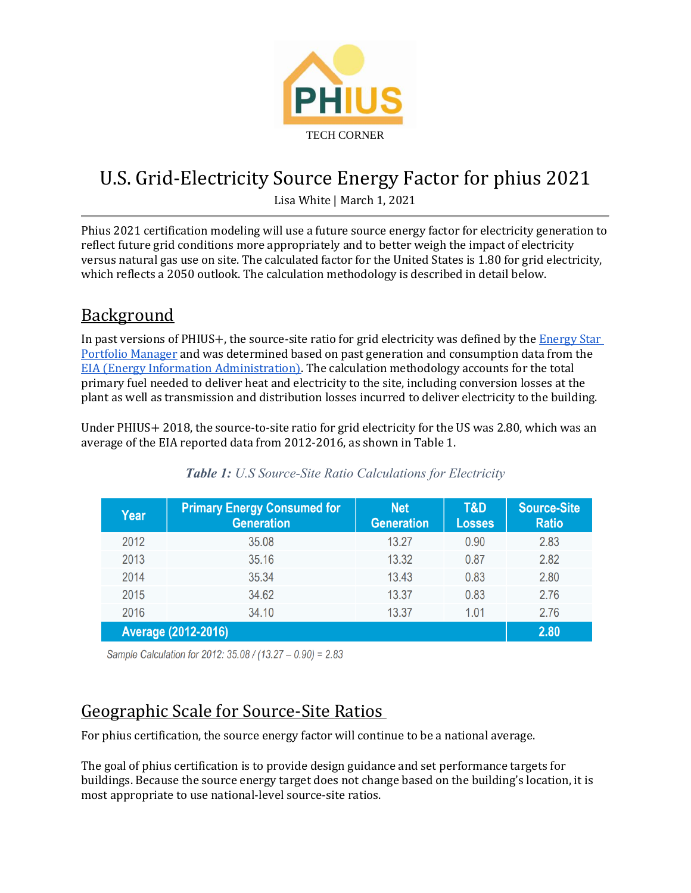

# U.S. Grid-Electricity Source Energy Factor for phius 2021

Lisa White | March 1, 2021

Phius 2021 certification modeling will use a future source energy factor for electricity generation to reflect future grid conditions more appropriately and to better weigh the impact of electricity versus natural gas use on site. The calculated factor for the United States is 1.80 for grid electricity, which reflects a 2050 outlook. The calculation methodology is described in detail below.

## Background

In past versions of PHIUS+, the source-site ratio for grid electricity was defined by the [Energy Star](https://portfoliomanager.energystar.gov/pdf/reference/Source%20Energy.pdf)  [Portfolio Manager](https://portfoliomanager.energystar.gov/pdf/reference/Source%20Energy.pdf) and was determined based on past generation and consumption data from the [EIA \(Energy Information Administration\).](https://www.eia.gov/totalenergy/data/monthly/) The calculation methodology accounts for the total primary fuel needed to deliver heat and electricity to the site, including conversion losses at the plant as well as transmission and distribution losses incurred to deliver electricity to the building.

Under PHIUS+ 2018, the source-to-site ratio for grid electricity for the US was 2.80, which was an average of the EIA reported data from 2012-2016, as shown in Table 1.

| Year                       | <b>Primary Energy Consumed for</b><br><b>Generation</b> | <b>Net</b><br><b>Generation</b> | T&D<br><b>Losses</b> | <b>Source-Site</b><br><b>Ratio</b> |
|----------------------------|---------------------------------------------------------|---------------------------------|----------------------|------------------------------------|
| 2012                       | 35.08                                                   | 13.27                           | 0.90                 | 2.83                               |
| 2013                       | 35.16                                                   | 13.32                           | 0.87                 | 2.82                               |
| 2014                       | 35.34                                                   | 13.43                           | 0.83                 | 2.80                               |
| 2015                       | 34.62                                                   | 13.37                           | 0.83                 | 2.76                               |
| 2016                       | 34.10                                                   | 13.37                           | 1.01                 | 2.76                               |
| <b>Average (2012-2016)</b> | 2.80                                                    |                                 |                      |                                    |

### *Table 1: U.S Source-Site Ratio Calculations for Electricity*

Sample Calculation for 2012: 35.08 / (13.27 - 0.90) = 2.83

## Geographic Scale for Source-Site Ratios

For phius certification, the source energy factor will continue to be a national average.

The goal of phius certification is to provide design guidance and set performance targets for buildings. Because the source energy target does not change based on the building's location, it is most appropriate to use national-level source-site ratios.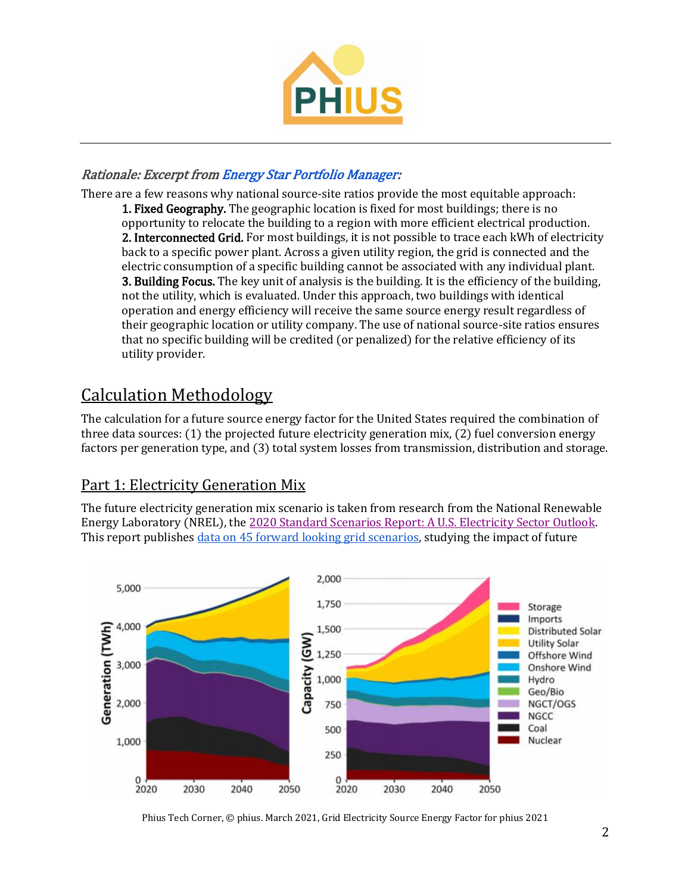

### Rationale: Excerpt from Energy Star Portfolio Manager:

There are a few reasons [why national source-site ratios prov](https://portfoliomanager.energystar.gov/pdf/reference/Source%20Energy.pdf)ide the most equitable approach: **1. Fixed Geography.** The geographic location is fixed for most buildings; there is no opportunity to relocate the building to a region with more efficient electrical production. 2. Interconnected Grid. For most buildings, it is not possible to trace each kWh of electricity back to a specific power plant. Across a given utility region, the grid is connected and the electric consumption of a specific building cannot be associated with any individual plant. 3. Building Focus. The key unit of analysis is the building. It is the efficiency of the building, not the utility, which is evaluated. Under this approach, two buildings with identical operation and energy efficiency will receive the same source energy result regardless of their geographic location or utility company. The use of national source-site ratios ensures that no specific building will be credited (or penalized) for the relative efficiency of its utility provider.

## Calculation Methodology

The calculation for a future source energy factor for the United States required the combination of three data sources: (1) the projected future electricity generation mix, (2) fuel conversion energy factors per generation type, and (3) total system losses from transmission, distribution and storage.

### Part 1: Electricity Generation Mix

The future electricity generation mix scenario is taken from research from the National Renewable Energy Laboratory (NREL), the [2020 Standard Scenarios Report: A U.S. Electricity Sector Outlook.](https://www.nrel.gov/docs/fy21osti/77442.pdf)  This report publishes [data on 45 forward looking grid scenarios,](https://cambium.nrel.gov/) studying the impact of future



Phius Tech Corner, © phius. March 2021, Grid Electricity Source Energy Factor for phius 2021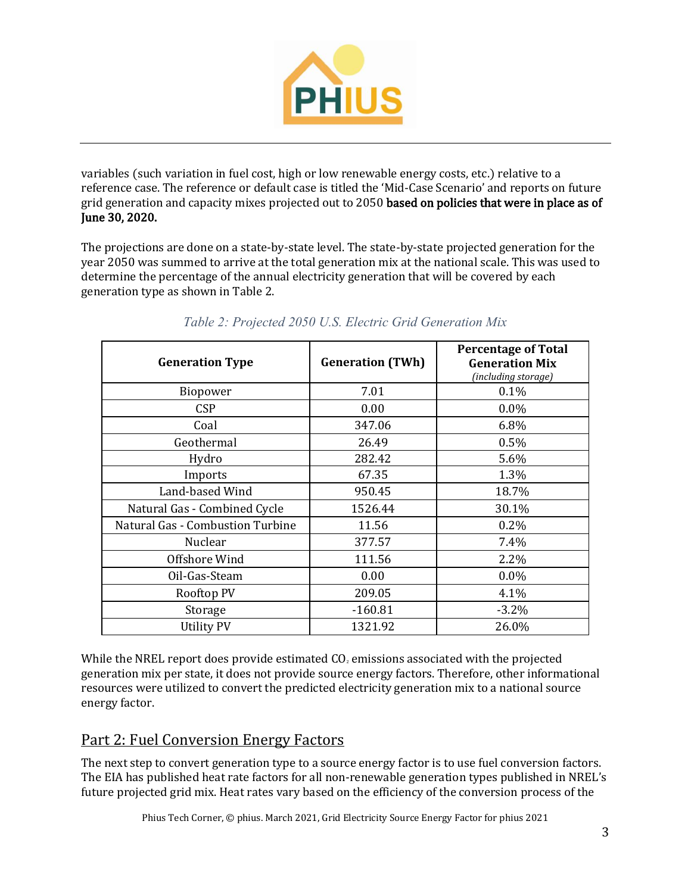

variables (such variation in fuel cost, high or low renewable energy costs, etc.) relative to a reference case. The reference or default case is titled the 'Mid-Case Scenario' and reports on future grid generation and capacity mixes projected out to 2050 based on policies that were in place as of June 30, 2020.

The projections are done on a state-by-state level. The state-by-state projected generation for the year 2050 was summed to arrive at the total generation mix at the national scale. This was used to determine the percentage of the annual electricity generation that will be covered by each generation type as shown in Table 2.

| <b>Generation Type</b>                  | <b>Generation (TWh)</b> | <b>Percentage of Total</b><br><b>Generation Mix</b><br>(including storage) |
|-----------------------------------------|-------------------------|----------------------------------------------------------------------------|
| <b>Biopower</b>                         | 7.01                    | 0.1%                                                                       |
| <b>CSP</b>                              | 0.00                    | $0.0\%$                                                                    |
| Coal                                    | 347.06                  | 6.8%                                                                       |
| Geothermal                              | 26.49                   | 0.5%                                                                       |
| Hydro                                   | 282.42                  | 5.6%                                                                       |
| Imports                                 | 67.35                   | 1.3%                                                                       |
| Land-based Wind                         | 950.45                  | 18.7%                                                                      |
| Natural Gas - Combined Cycle            | 1526.44                 | 30.1%                                                                      |
| <b>Natural Gas - Combustion Turbine</b> | 11.56                   | $0.2\%$                                                                    |
| Nuclear                                 | 377.57                  | 7.4%                                                                       |
| Offshore Wind                           | 111.56                  | 2.2%                                                                       |
| Oil-Gas-Steam                           | 0.00                    | $0.0\%$                                                                    |
| Rooftop PV                              | 209.05                  | 4.1%                                                                       |
| Storage                                 | $-160.81$               | $-3.2%$                                                                    |
| <b>Utility PV</b>                       | 1321.92                 | 26.0%                                                                      |

### *Table 2: Projected 2050 U.S. Electric Grid Generation Mix*

While the NREL report does provide estimated  $CO<sub>2</sub>$  emissions associated with the projected generation mix per state, it does not provide source energy factors. Therefore, other informational resources were utilized to convert the predicted electricity generation mix to a national source energy factor.

### Part 2: Fuel Conversion Energy Factors

The next step to convert generation type to a source energy factor is to use fuel conversion factors. The EIA has published heat rate factors for all non-renewable generation types published in NREL's future projected grid mix. Heat rates vary based on the efficiency of the conversion process of the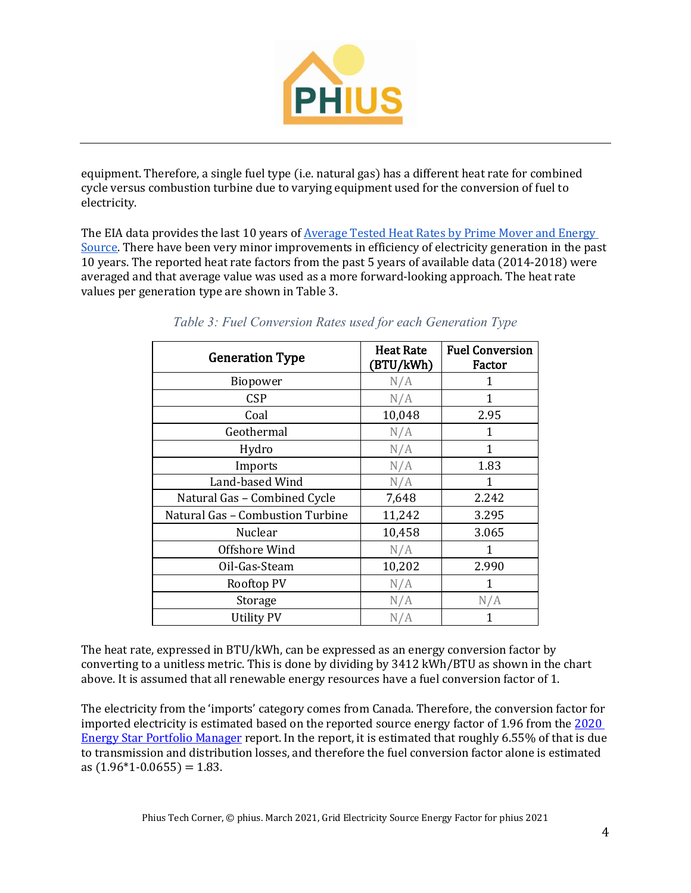

equipment. Therefore, a single fuel type (i.e. natural gas) has a different heat rate for combined cycle versus combustion turbine due to varying equipment used for the conversion of fuel to electricity.

The EIA data provides the last 10 years of Average Tested Heat Rates by Prime Mover and Energy [Source.](https://www.eia.gov/electricity/annual/html/epa_08_02.html) There have been very minor improvements in efficiency of electricity generation in the past 10 years. The reported heat rate factors from the past 5 years of available data (2014-2018) were averaged and that average value was used as a more forward-looking approach. The heat rate values per generation type are shown in Table 3.

| <b>Generation Type</b>           | <b>Heat Rate</b><br>(BTU/kWh) | <b>Fuel Conversion</b><br>Factor |  |  |
|----------------------------------|-------------------------------|----------------------------------|--|--|
| <b>Biopower</b>                  | N/A                           |                                  |  |  |
| <b>CSP</b>                       | N/A                           | 1                                |  |  |
| Coal                             | 10,048                        | 2.95                             |  |  |
| Geothermal                       | N/A                           | 1                                |  |  |
| Hydro                            | N/A                           | 1                                |  |  |
| Imports                          | N/A                           | 1.83                             |  |  |
| Land-based Wind                  | N/A                           | 1                                |  |  |
| Natural Gas - Combined Cycle     | 7,648                         | 2.242                            |  |  |
| Natural Gas - Combustion Turbine | 11,242                        | 3.295                            |  |  |
| Nuclear                          | 10,458                        | 3.065                            |  |  |
| Offshore Wind                    | N/A                           | 1                                |  |  |
| Oil-Gas-Steam                    | 10,202                        | 2.990                            |  |  |
| Rooftop PV                       | N/A                           | 1                                |  |  |
| Storage                          | N/A                           | N/A                              |  |  |
| <b>Utility PV</b>                | N/A                           |                                  |  |  |

### *Table 3: Fuel Conversion Rates used for each Generation Type*

The heat rate, expressed in BTU/kWh, can be expressed as an energy conversion factor by converting to a unitless metric. This is done by dividing by 3412 kWh/BTU as shown in the chart above. It is assumed that all renewable energy resources have a fuel conversion factor of 1.

The electricity from the 'imports' category comes from Canada. Therefore, the conversion factor for imported electricity is estimated based on the reported source energy factor of 1.96 from the [2020](https://portfoliomanager.energystar.gov/pdf/reference/Source%20Energy.pdf) [Energy Star Portfolio Manager](https://portfoliomanager.energystar.gov/pdf/reference/Source%20Energy.pdf) report. In the report, it is estimated that roughly 6.55% of that is due to transmission and distribution losses, and therefore the fuel conversion factor alone is estimated as  $(1.96*1-0.0655) = 1.83$ .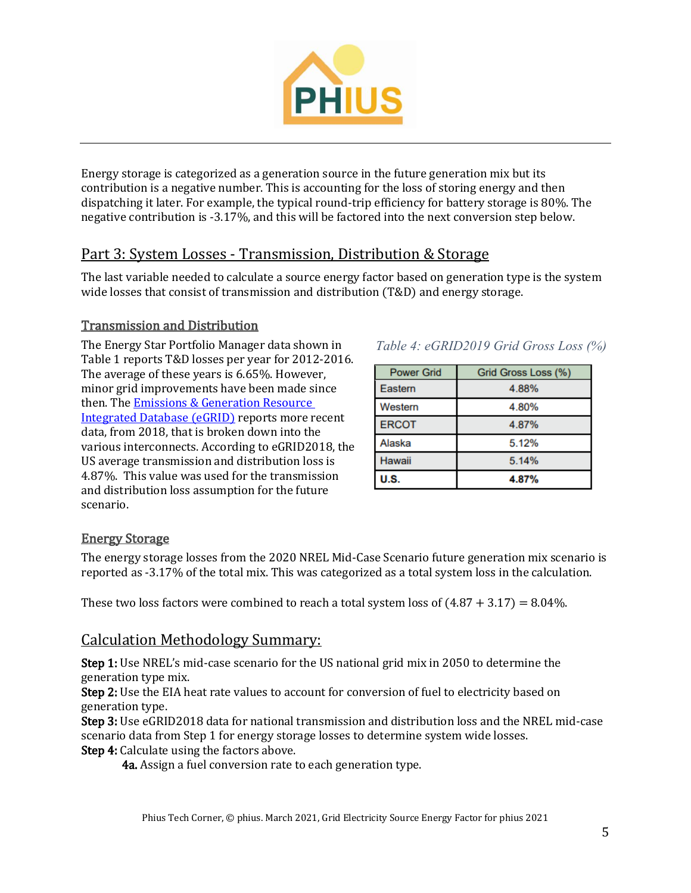

Energy storage is categorized as a generation source in the future generation mix but its contribution is a negative number. This is accounting for the loss of storing energy and then dispatching it later. For example, the typical round-trip efficiency for battery storage is 80%. The negative contribution is -3.17%, and this will be factored into the next conversion step below.

### Part 3: System Losses - Transmission, Distribution & Storage

The last variable needed to calculate a source energy factor based on generation type is the system wide losses that consist of transmission and distribution (T&D) and energy storage.

#### Transmission and Distribution

The Energy Star Portfolio Manager data shown in Table 1 reports T&D losses per year for 2012-2016. The average of these years is 6.65%. However, minor grid improvements have been made since then. The **Emissions & Generation Resource** [Integrated Database \(eGRID\)](https://www.epa.gov/sites/production/files/2020-01/documents/egrid2018_technical_support_document.pdf) reports more recent data, from 2018, that is broken down into the various interconnects. According to eGRID2018, the US average transmission and distribution loss is 4.87%. This value was used for the transmission and distribution loss assumption for the future scenario.

#### *Table 4: eGRID2019 Grid Gross Loss (%)*

| <b>Power Grid</b> | Grid Gross Loss (%) |
|-------------------|---------------------|
| Eastern           | 4.88%               |
| Western           | 4.80%               |
| <b>ERCOT</b>      | 4.87%               |
| Alaska            | 5.12%               |
| Hawaii            | 5.14%               |
| U.S.              | 4.87%               |

### Energy Storage

The energy storage losses from the 2020 NREL Mid-Case Scenario future generation mix scenario is reported as -3.17% of the total mix. This was categorized as a total system loss in the calculation.

These two loss factors were combined to reach a total system loss of  $(4.87 + 3.17) = 8.04\%$ .

### Calculation Methodology Summary:

Step 1: Use NREL's mid-case scenario for the US national grid mix in 2050 to determine the generation type mix.

Step 2: Use the EIA heat rate values to account for conversion of fuel to electricity based on generation type.

Step 3: Use eGRID2018 data for national transmission and distribution loss and the NREL mid-case scenario data from Step 1 for energy storage losses to determine system wide losses. Step 4: Calculate using the factors above.

4a. Assign a fuel conversion rate to each generation type.